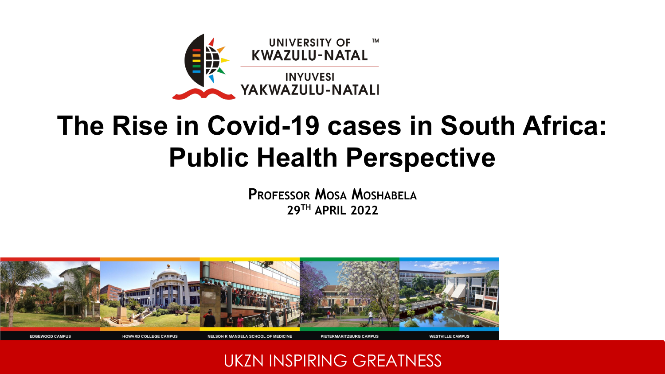

## **The Rise in Covid-19 cases in South Africa: Public Health Perspective**

**PROFESSOR MOSA MOSHABELA 29TH APRIL 2022**



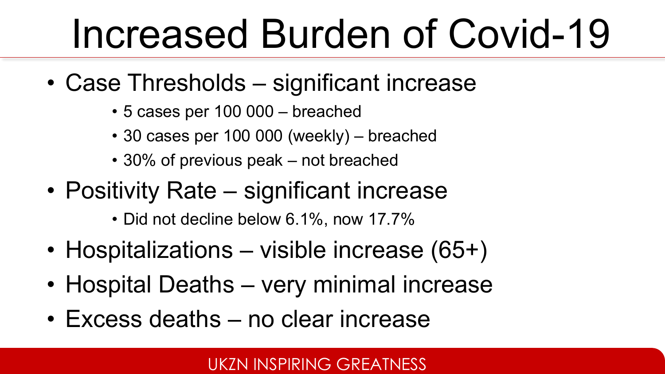# Increased Burden of Covid-19

- Case Thresholds significant increase
	- 5 cases per 100 000 breached
	- 30 cases per 100 000 (weekly) breached
	- 30% of previous peak not breached
- Positivity Rate significant increase
	- Did not decline below 6.1%, now 17.7%
- Hospitalizations visible increase (65+)
- Hospital Deaths very minimal increase
- Excess deaths no clear increase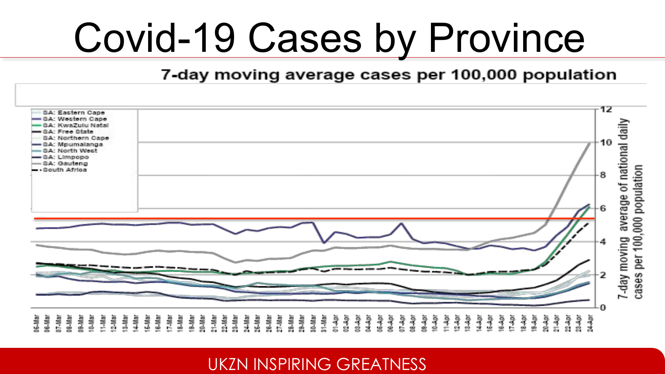## Covid-19 Cases by Province

#### 7-day moving average cases per 100,000 population

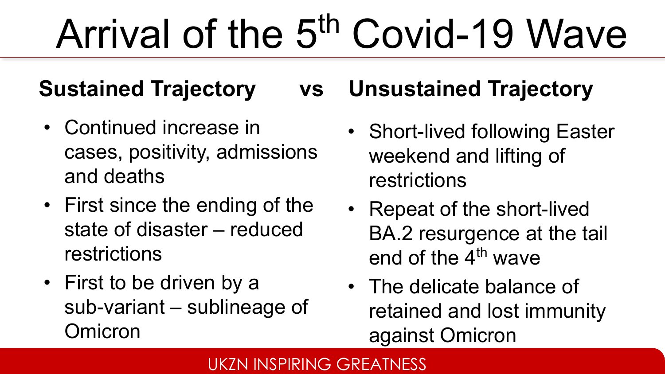# Arrival of the 5<sup>th</sup> Covid-19 Wave

### **Sustained Trajectory vs**

- Continued increase in cases, positivity, admissions and deaths
- First since the ending of the state of disaster – reduced restrictions
- First to be driven by a sub-variant – sublineage of **Omicron**

### **Unsustained Trajectory**

- Short-lived following Easter weekend and lifting of restrictions
- Repeat of the short-lived BA.2 resurgence at the tail end of the  $4<sup>th</sup>$  wave
- The delicate balance of retained and lost immunity against Omicron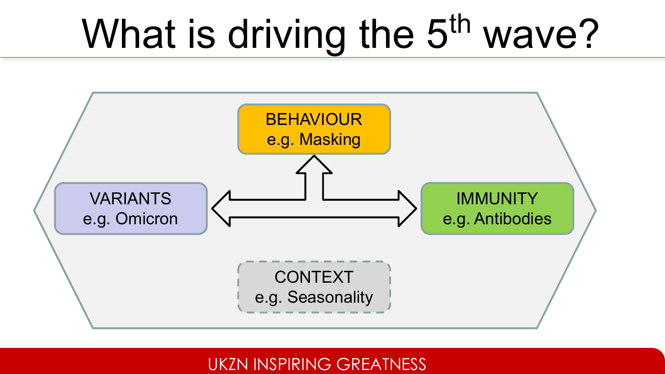## What is driving the  $5<sup>th</sup>$  wave?

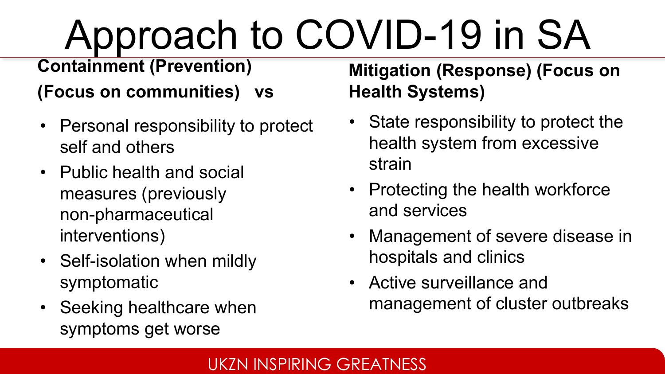# Approach to COVID-19 in SA

**Containment (Prevention)**

**(Focus on communities) vs**

- Personal responsibility to protect self and others
- Public health and social measures (previously non-pharmaceutical interventions)
- Self-isolation when mildly symptomatic
- Seeking healthcare when symptoms get worse

### **Mitigation (Response) (Focus on Health Systems)**

- State responsibility to protect the health system from excessive strain
- Protecting the health workforce and services
- Management of severe disease in hospitals and clinics
- Active surveillance and management of cluster outbreaks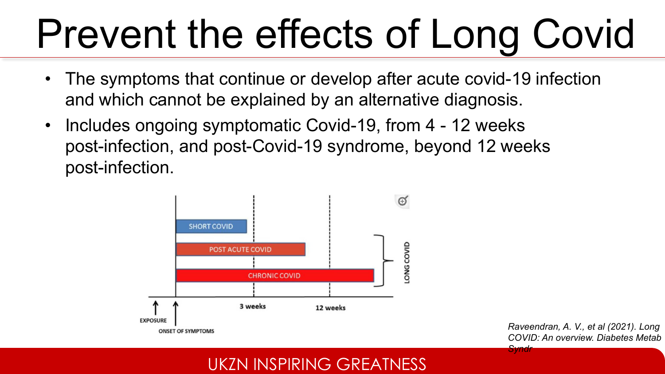# Prevent the effects of Long Covid

- The symptoms that continue or develop after acute covid-19 infection and which cannot be explained by an alternative diagnosis.
- Includes ongoing symptomatic Covid-19, from 4 12 weeks post-infection, and post-Covid-19 syndrome, beyond 12 weeks post-infection.



*Raveendran, A. V., et al (2021). Long COVID: An overview. Diabetes Metab Syndr*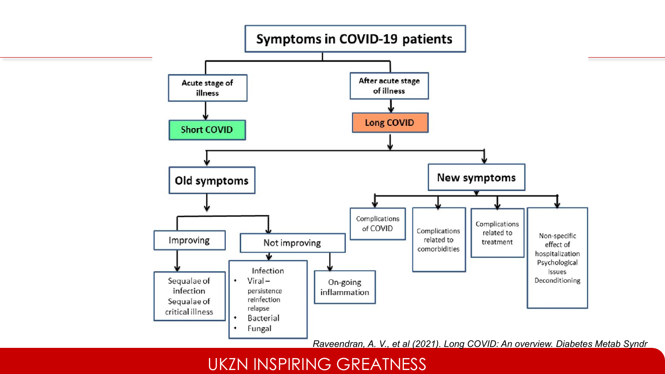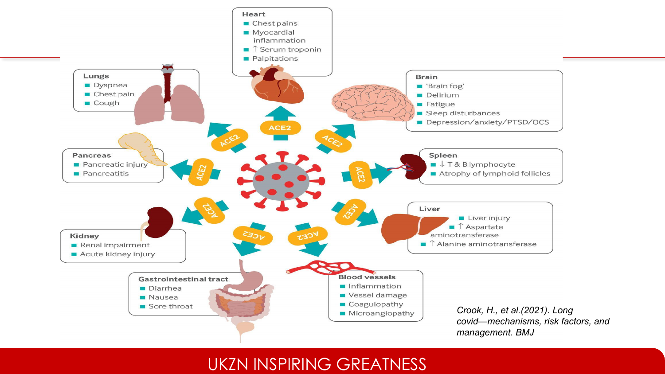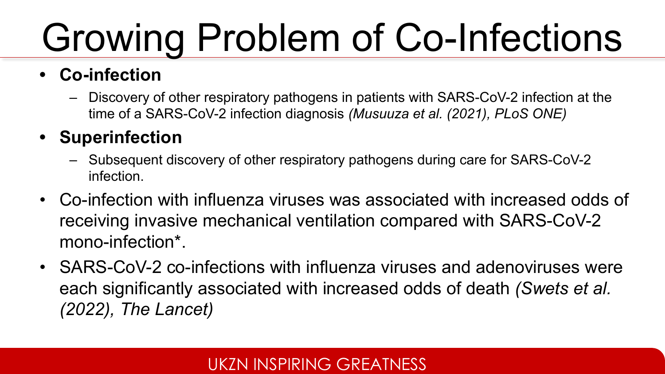# Growing Problem of Co-Infections

- **• Co-infection**
	- Discovery of other respiratory pathogens in patients with SARS-CoV-2 infection at the time of a SARS-CoV-2 infection diagnosis *(Musuuza et al. (2021), PLoS ONE)*

### **• Superinfection**

- Subsequent discovery of other respiratory pathogens during care for SARS-CoV-2 infection.
- Co-infection with influenza viruses was associated with increased odds of receiving invasive mechanical ventilation compared with SARS-CoV-2 mono-infection\*.
- SARS-CoV-2 co-infections with influenza viruses and adenoviruses were each significantly associated with increased odds of death *(Swets et al. (2022), The Lancet)*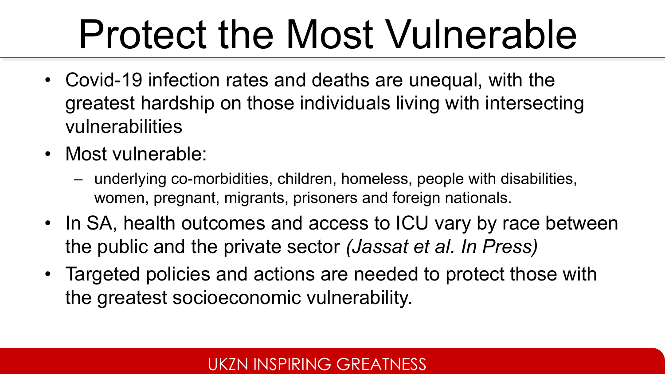# Protect the Most Vulnerable

- Covid-19 infection rates and deaths are unequal, with the greatest hardship on those individuals living with intersecting vulnerabilities
- Most vulnerable:
	- underlying co-morbidities, children, homeless, people with disabilities, women, pregnant, migrants, prisoners and foreign nationals.
- In SA, health outcomes and access to ICU vary by race between the public and the private sector *(Jassat et al. In Press)*
- Targeted policies and actions are needed to protect those with the greatest socioeconomic vulnerability.